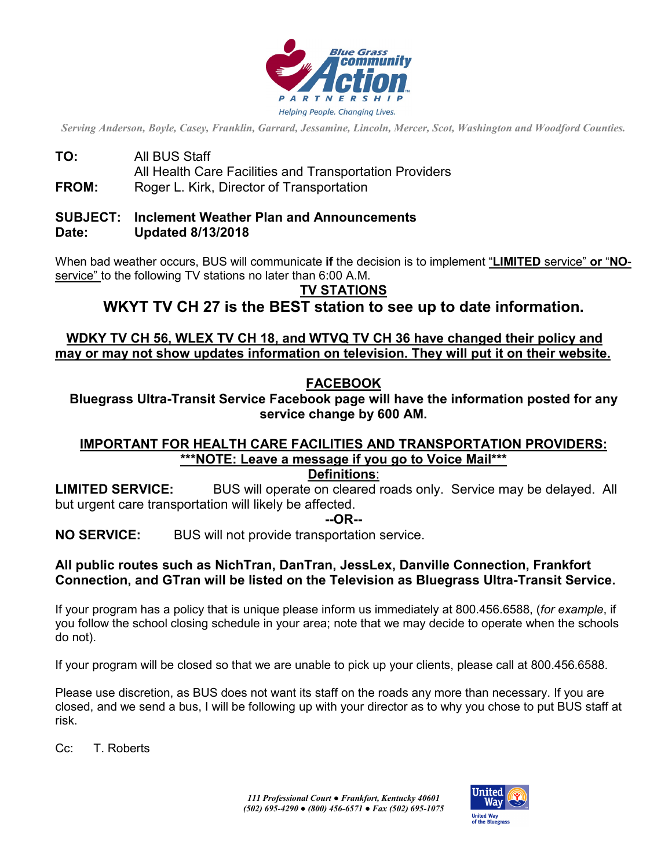

*Serving Anderson, Boyle, Casey, Franklin, Garrard, Jessamine, Lincoln, Mercer, Scot, Washington and Woodford Counties.*

**TO:** All BUS Staff All Health Care Facilities and Transportation Providers **FROM:** Roger L. Kirk, Director of Transportation

# **SUBJECT: Inclement Weather Plan and Announcements**

#### **Date: Updated 8/13/2018**

When bad weather occurs, BUS will communicate **if** the decision is to implement "**LIMITED** service" **or** "**NO**service" to the following TV stations no later than 6:00 A.M.

### **TV STATIONS**

**WKYT TV CH 27 is the BEST station to see up to date information.**

### **WDKY TV CH 56, WLEX TV CH 18, and WTVQ TV CH 36 have changed their policy and may or may not show updates information on television. They will put it on their website.**

### **FACEBOOK**

**Bluegrass Ultra-Transit Service Facebook page will have the information posted for any service change by 600 AM.**

## **IMPORTANT FOR HEALTH CARE FACILITIES AND TRANSPORTATION PROVIDERS: \*\*\*NOTE: Leave a message if you go to Voice Mail\*\*\***

#### **Definitions**:

**LIMITED SERVICE:** BUS will operate on cleared roads only. Service may be delayed. All but urgent care transportation will likely be affected.

**--OR--**

**NO SERVICE:** BUS will not provide transportation service.

#### **All public routes such as NichTran, DanTran, JessLex, Danville Connection, Frankfort Connection, and GTran will be listed on the Television as Bluegrass Ultra-Transit Service.**

If your program has a policy that is unique please inform us immediately at 800.456.6588, (*for example*, if you follow the school closing schedule in your area; note that we may decide to operate when the schools do not).

If your program will be closed so that we are unable to pick up your clients, please call at 800.456.6588.

Please use discretion, as BUS does not want its staff on the roads any more than necessary. If you are closed, and we send a bus, I will be following up with your director as to why you chose to put BUS staff at risk.

Cc: T. Roberts